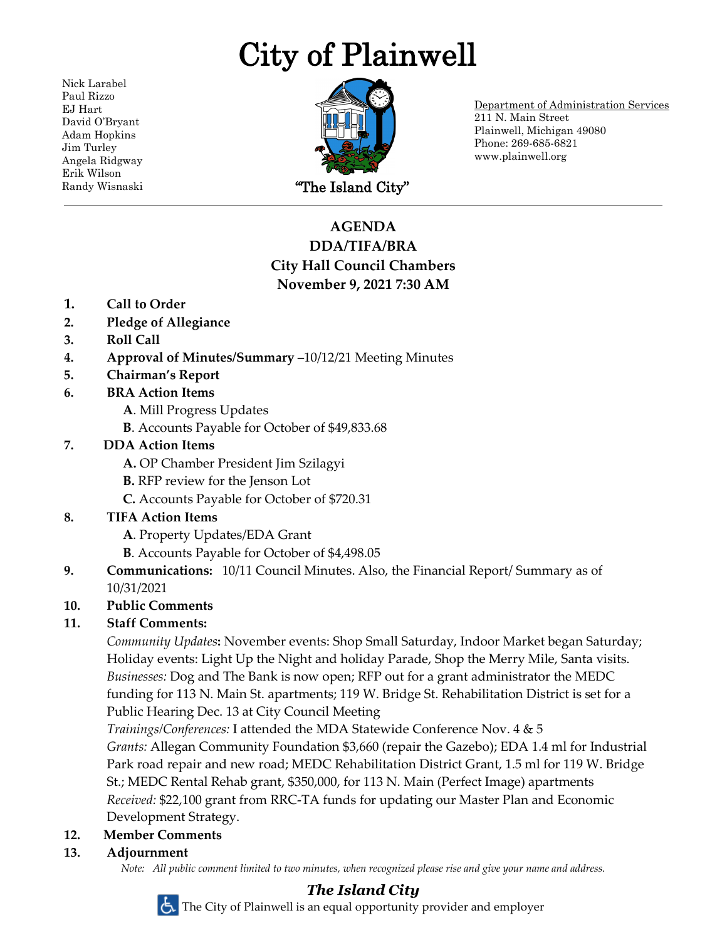# City of Plainwell

Nick Larabel Paul Rizzo EJ Hart David O'Bryant Adam Hopkins Jim Turley Angela Ridgway Erik Wilson



Department of Administration Services 211 N. Main Street Plainwell, Michigan 49080 Phone: 269-685-6821 www.plainwell.org

# **AGENDA DDA/TIFA/BRA City Hall Council Chambers November 9, 2021 7:30 AM**

- **1. Call to Order**
- **2. Pledge of Allegiance**
- **3. Roll Call**
- **4. Approval of Minutes/Summary –**10/12/21 Meeting Minutes
- **5. Chairman's Report**
- **6. BRA Action Items**
	- **A**. Mill Progress Updates
	- **B**. Accounts Payable for October of \$49,833.68

## **7. DDA Action Items**

- **A.** OP Chamber President Jim Szilagyi
- **B.** RFP review for the Jenson Lot
- **C.** Accounts Payable for October of \$720.31
- **8. TIFA Action Items**
	- **A**. Property Updates/EDA Grant
	- **B**. Accounts Payable for October of \$4,498.05
- **9. Communications:** 10/11 Council Minutes. Also, the Financial Report/ Summary as of 10/31/2021

# **10. Public Comments**

# **11. Staff Comments:**

*Community Updates***:** November events: Shop Small Saturday, Indoor Market began Saturday; Holiday events: Light Up the Night and holiday Parade, Shop the Merry Mile, Santa visits. *Businesses:* Dog and The Bank is now open; RFP out for a grant administrator the MEDC funding for 113 N. Main St. apartments; 119 W. Bridge St. Rehabilitation District is set for a Public Hearing Dec. 13 at City Council Meeting

*Trainings/Conferences:* I attended the MDA Statewide Conference Nov. 4 & 5

*Grants:* Allegan Community Foundation \$3,660 (repair the Gazebo); EDA 1.4 ml for Industrial Park road repair and new road; MEDC Rehabilitation District Grant, 1.5 ml for 119 W. Bridge St.; MEDC Rental Rehab grant, \$350,000, for 113 N. Main (Perfect Image) apartments *Received:* \$22,100 grant from RRC-TA funds for updating our Master Plan and Economic Development Strategy.

### **12. Member Comments**

**13. Adjournment**

*Note: All public comment limited to two minutes, when recognized please rise and give your name and address.*

# *The Island City*

The City of Plainwell is an equal opportunity provider and employer